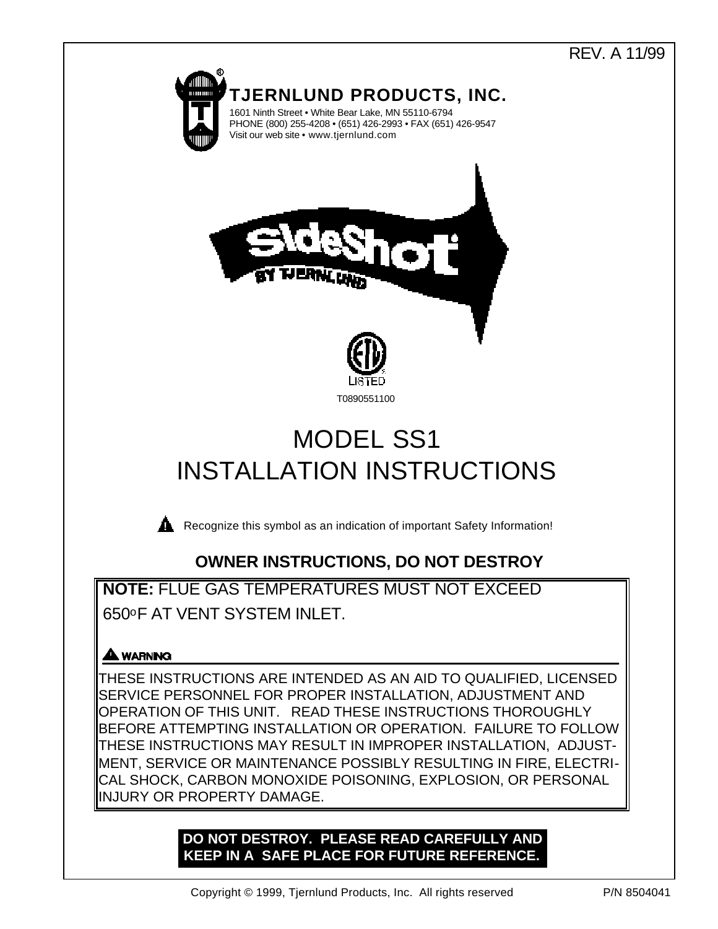# REV. A 11/99



**NOTE:** FLUE GAS TEMPERATURES MUST NOT EXCEED 650oF AT VENT SYSTEM INLET.

# **A WARNING**

THESE INSTRUCTIONS ARE INTENDED AS AN AID TO QUALIFIED, LICENSED SERVICE PERSONNEL FOR PROPER INSTALLATION, ADJUSTMENT AND OPERATION OF THIS UNIT. READ THESE INSTRUCTIONS THOROUGHLY BEFORE ATTEMPTING INSTALLATION OR OPERATION. FAILURE TO FOLLOW THESE INSTRUCTIONS MAY RESULT IN IMPROPER INSTALLATION, ADJUST-MENT, SERVICE OR MAINTENANCE POSSIBLY RESULTING IN FIRE, ELECTRI-CAL SHOCK, CARBON MONOXIDE POISONING, EXPLOSION, OR PERSONAL INJURY OR PROPERTY DAMAGE.

# **DO NOT DESTROY. PLEASE READ CAREFULLY AND KEEP IN A SAFE PLACE FOR FUTURE REFERENCE.**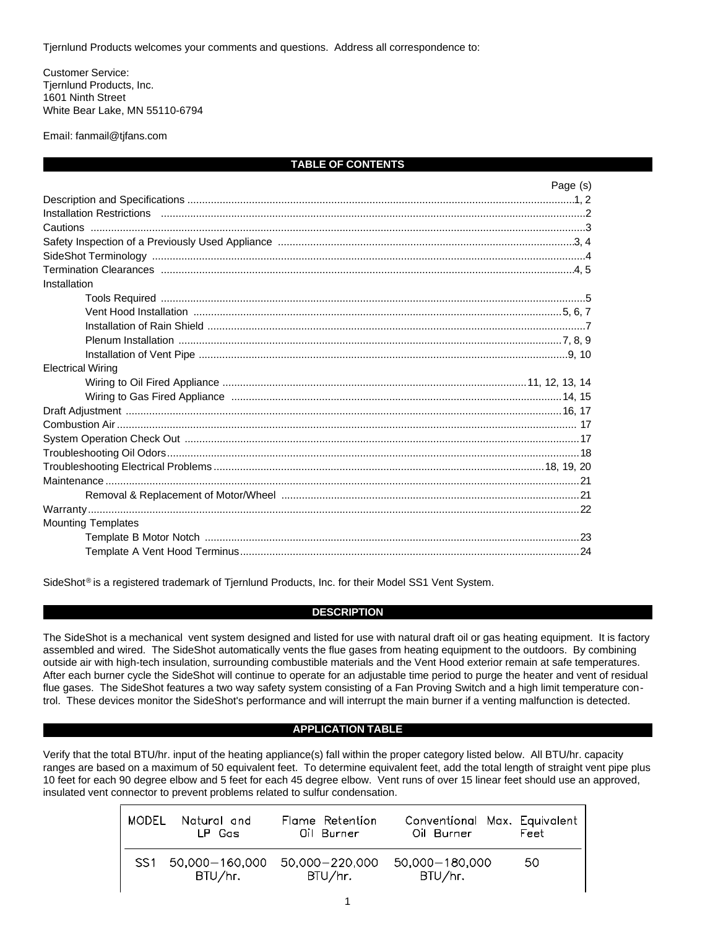Tjernlund Products welcomes your comments and questions. Address all correspondence to:

Customer Service: Tjernlund Products, Inc. 1601 Ninth Street White Bear Lake, MN 55110-6794

Email: fanmail@tjfans.com

### **TABLE OF CONTENTS**

|                                                                                   | Page (s) |
|-----------------------------------------------------------------------------------|----------|
|                                                                                   |          |
|                                                                                   |          |
|                                                                                   |          |
|                                                                                   |          |
|                                                                                   |          |
|                                                                                   |          |
| Installation                                                                      |          |
|                                                                                   |          |
|                                                                                   |          |
|                                                                                   |          |
|                                                                                   |          |
|                                                                                   |          |
| <b>Electrical Wiring</b>                                                          |          |
|                                                                                   |          |
| Wiring to Gas Fired Appliance measurements and the material control of the 14, 15 |          |
|                                                                                   |          |
|                                                                                   |          |
|                                                                                   |          |
|                                                                                   |          |
|                                                                                   |          |
|                                                                                   |          |
|                                                                                   |          |
|                                                                                   |          |
| <b>Mounting Templates</b>                                                         |          |
|                                                                                   |          |
|                                                                                   |          |

SideShot<sup>®</sup> is a registered trademark of Tjernlund Products, Inc. for their Model SS1 Vent System.

### **DESCRIPTION**

The SideShot is a mechanical vent system designed and listed for use with natural draft oil or gas heating equipment. It is factory assembled and wired. The SideShot automatically vents the flue gases from heating equipment to the outdoors. By combining outside air with high-tech insulation, surrounding combustible materials and the Vent Hood exterior remain at safe temperatures. After each burner cycle the SideShot will continue to operate for an adjustable time period to purge the heater and vent of residual flue gases. The SideShot features a two way safety system consisting of a Fan Proving Switch and a high limit temperature control. These devices monitor the SideShot's performance and will interrupt the main burner if a venting malfunction is detected.

# **APPLICATION TABLE**

Verify that the total BTU/hr. input of the heating appliance(s) fall within the proper category listed below. All BTU/hr. capacity ranges are based on a maximum of 50 equivalent feet. To determine equivalent feet, add the total length of straight vent pipe plus 10 feet for each 90 degree elbow and 5 feet for each 45 degree elbow. Vent runs of over 15 linear feet should use an approved, insulated vent connector to prevent problems related to sulfur condensation.

| MODEL Natural and<br>LP Gas   | Flame Retention<br>Oil Burner | Conventional Max. Equivalent<br>Oil Burner | Feet |
|-------------------------------|-------------------------------|--------------------------------------------|------|
| SS1 50.000-160.000<br>BTU/hr. | 50.000-220.000<br>BTU/hr.     | 50.000-180.000<br>BTU/hr.                  | -50  |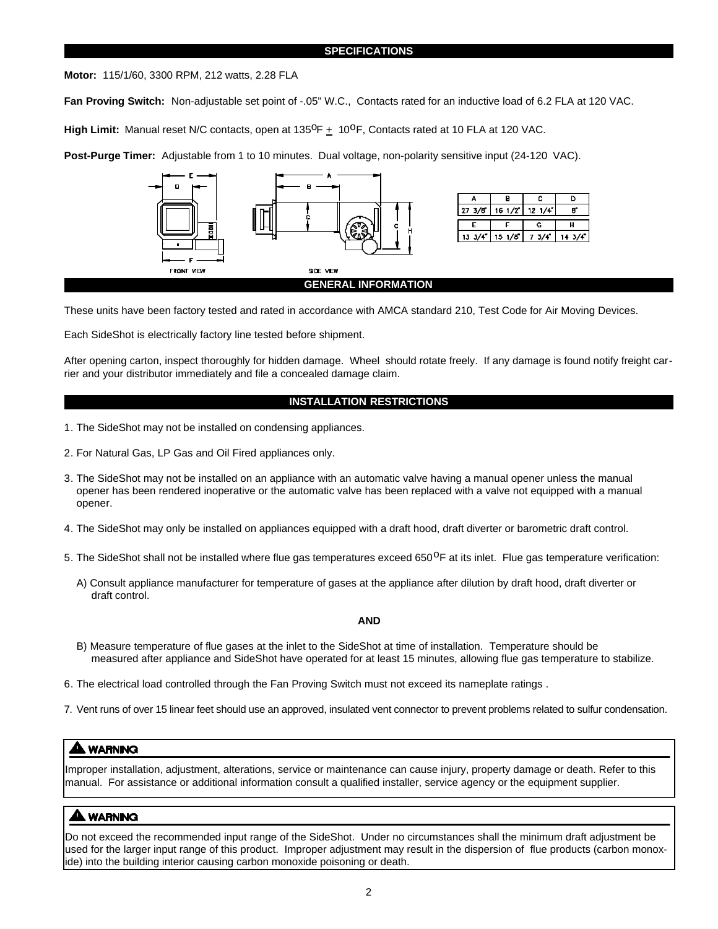### **SPECIFICATIONS**

**Motor:** 115/1/60, 3300 RPM, 212 watts, 2.28 FLA

**Fan Proving Switch:** Non-adjustable set point of -.05" W.C., Contacts rated for an inductive load of 6.2 FLA at 120 VAC.

High Limit: Manual reset N/C contacts, open at 135<sup>o</sup>F  $\pm$  10<sup>o</sup>F, Contacts rated at 10 FLA at 120 VAC.

**Post-Purge Timer:** Adjustable from 1 to 10 minutes. Dual voltage, non-polarity sensitive input (24-120 VAC).



These units have been factory tested and rated in accordance with AMCA standard 210, Test Code for Air Moving Devices.

Each SideShot is electrically factory line tested before shipment.

After opening carton, inspect thoroughly for hidden damage. Wheel should rotate freely. If any damage is found notify freight carrier and your distributor immediately and file a concealed damage claim.

### **INSTALLATION RESTRICTIONS**

- 1. The SideShot may not be installed on condensing appliances.
- 2. For Natural Gas, LP Gas and Oil Fired appliances only.
- 3. The SideShot may not be installed on an appliance with an automatic valve having a manual opener unless the manual opener has been rendered inoperative or the automatic valve has been replaced with a valve not equipped with a manual opener.
- 4. The SideShot may only be installed on appliances equipped with a draft hood, draft diverter or barometric draft control.
- 5. The SideShot shall not be installed where flue gas temperatures exceed 650<sup>o</sup>F at its inlet. Flue gas temperature verification:
	- A) Consult appliance manufacturer for temperature of gases at the appliance after dilution by draft hood, draft diverter or draft control.

### **AND**

- B) Measure temperature of flue gases at the inlet to the SideShot at time of installation. Temperature should be measured after appliance and SideShot have operated for at least 15 minutes, allowing flue gas temperature to stabilize.
- 6. The electrical load controlled through the Fan Proving Switch must not exceed its nameplate ratings .
- 7. Vent runs of over 15 linear feet should use an approved, insulated vent connector to prevent problems related to sulfur condensation.

# **A WARNING**

Improper installation, adjustment, alterations, service or maintenance can cause injury, property damage or death. Refer to this manual. For assistance or additional information consult a qualified installer, service agency or the equipment supplier.

# **AAL WARNING**

Do not exceed the recommended input range of the SideShot. Under no circumstances shall the minimum draft adjustment be used for the larger input range of this product. Improper adjustment may result in the dispersion of flue products (carbon monoxide) into the building interior causing carbon monoxide poisoning or death.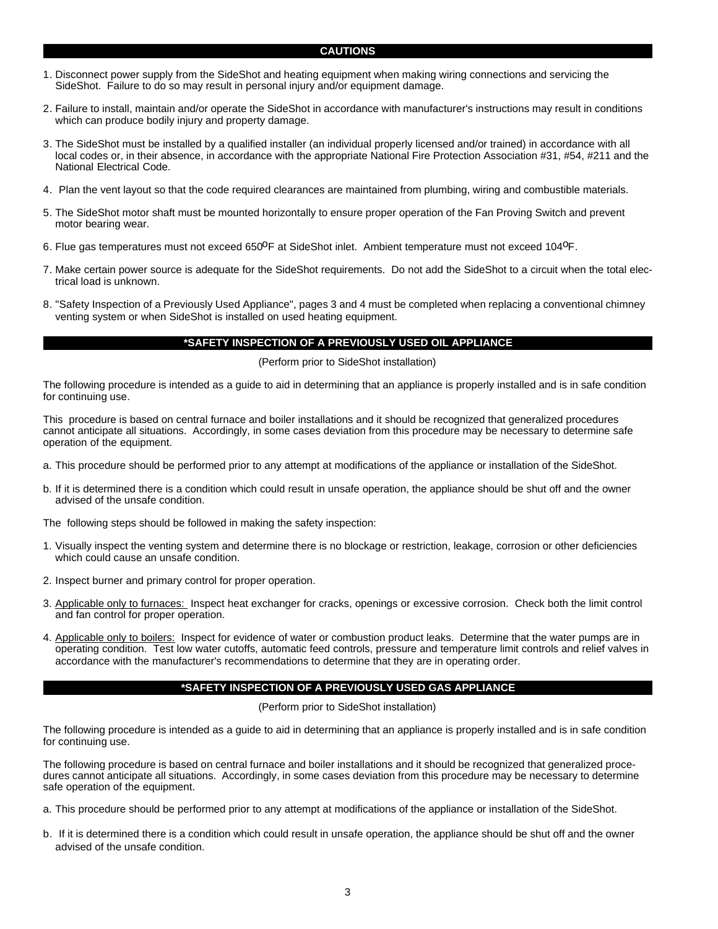### **CAUTIONS**

- 1. Disconnect power supply from the SideShot and heating equipment when making wiring connections and servicing the SideShot. Failure to do so may result in personal injury and/or equipment damage.
- 2. Failure to install, maintain and/or operate the SideShot in accordance with manufacturer's instructions may result in conditions which can produce bodily injury and property damage.
- 3. The SideShot must be installed by a qualified installer (an individual properly licensed and/or trained) in accordance with all local codes or, in their absence, in accordance with the appropriate National Fire Protection Association #31, #54, #211 and the National Electrical Code.
- 4. Plan the vent layout so that the code required clearances are maintained from plumbing, wiring and combustible materials.
- 5. The SideShot motor shaft must be mounted horizontally to ensure proper operation of the Fan Proving Switch and prevent motor bearing wear.
- 6. Flue gas temperatures must not exceed 650<sup>0</sup>F at SideShot inlet. Ambient temperature must not exceed 104<sup>0</sup>F.
- 7. Make certain power source is adequate for the SideShot requirements. Do not add the SideShot to a circuit when the total electrical load is unknown.
- 8. "Safety Inspection of a Previously Used Appliance", pages 3 and 4 must be completed when replacing a conventional chimney venting system or when SideShot is installed on used heating equipment.

## **\*SAFETY INSPECTION OF A PREVIOUSLY USED OIL APPLIANCE**

(Perform prior to SideShot installation)

The following procedure is intended as a guide to aid in determining that an appliance is properly installed and is in safe condition for continuing use.

This procedure is based on central furnace and boiler installations and it should be recognized that generalized procedures cannot anticipate all situations. Accordingly, in some cases deviation from this procedure may be necessary to determine safe operation of the equipment.

- a. This procedure should be performed prior to any attempt at modifications of the appliance or installation of the SideShot.
- b. If it is determined there is a condition which could result in unsafe operation, the appliance should be shut off and the owner advised of the unsafe condition.

The following steps should be followed in making the safety inspection:

- 1. Visually inspect the venting system and determine there is no blockage or restriction, leakage, corrosion or other deficiencies which could cause an unsafe condition.
- 2. Inspect burner and primary control for proper operation.
- 3. Applicable only to furnaces: Inspect heat exchanger for cracks, openings or excessive corrosion. Check both the limit control and fan control for proper operation.
- 4. Applicable only to boilers: Inspect for evidence of water or combustion product leaks. Determine that the water pumps are in operating condition. Test low water cutoffs, automatic feed controls, pressure and temperature limit controls and relief valves in accordance with the manufacturer's recommendations to determine that they are in operating order.

### **\*SAFETY INSPECTION OF A PREVIOUSLY USED GAS APPLIANCE**

(Perform prior to SideShot installation)

The following procedure is intended as a guide to aid in determining that an appliance is properly installed and is in safe condition for continuing use.

The following procedure is based on central furnace and boiler installations and it should be recognized that generalized procedures cannot anticipate all situations. Accordingly, in some cases deviation from this procedure may be necessary to determine safe operation of the equipment.

- a. This procedure should be performed prior to any attempt at modifications of the appliance or installation of the SideShot.
- b. If it is determined there is a condition which could result in unsafe operation, the appliance should be shut off and the owner advised of the unsafe condition.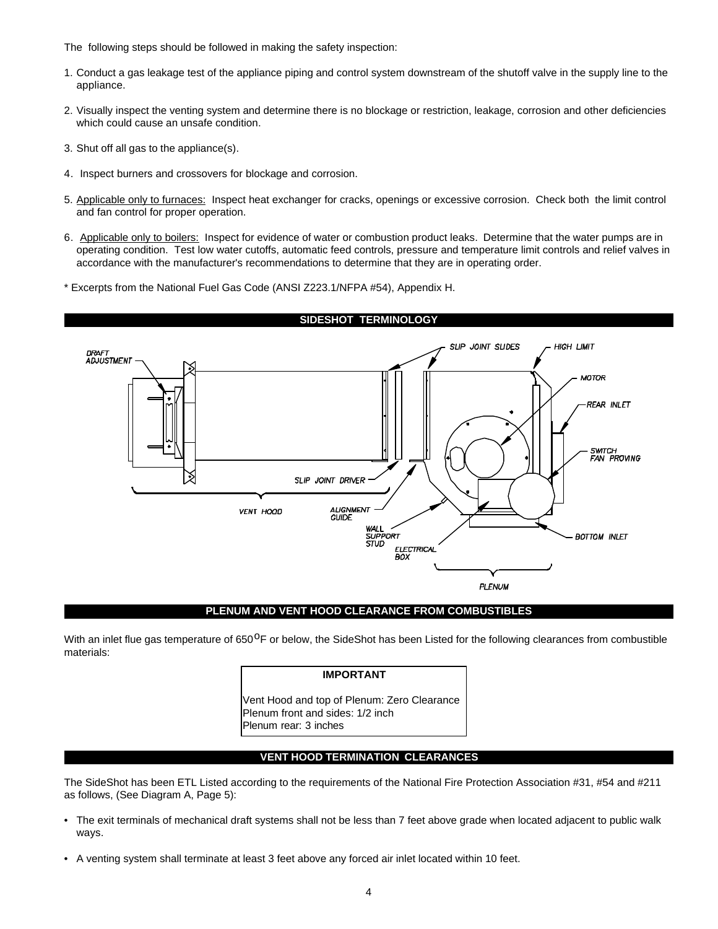The following steps should be followed in making the safety inspection:

- 1. Conduct a gas leakage test of the appliance piping and control system downstream of the shutoff valve in the supply line to the appliance.
- 2. Visually inspect the venting system and determine there is no blockage or restriction, leakage, corrosion and other deficiencies which could cause an unsafe condition.
- 3. Shut off all gas to the appliance(s).
- 4. Inspect burners and crossovers for blockage and corrosion.
- 5. Applicable only to furnaces: Inspect heat exchanger for cracks, openings or excessive corrosion. Check both the limit control and fan control for proper operation.
- 6. Applicable only to boilers: Inspect for evidence of water or combustion product leaks. Determine that the water pumps are in operating condition. Test low water cutoffs, automatic feed controls, pressure and temperature limit controls and relief valves in accordance with the manufacturer's recommendations to determine that they are in operating order.
- \* Excerpts from the National Fuel Gas Code (ANSI Z223.1/NFPA #54), Appendix H.



#### **PLENUM AND VENT HOOD CLEARANCE FROM COMBUSTIBLES**

With an inlet flue gas temperature of 650<sup>O</sup>F or below, the SideShot has been Listed for the following clearances from combustible materials:

### **IMPORTANT**

Vent Hood and top of Plenum: Zero Clearance Plenum front and sides: 1/2 inch Plenum rear: 3 inches

# **VENT HOOD TERMINATION CLEARANCES**

The SideShot has been ETL Listed according to the requirements of the National Fire Protection Association #31, #54 and #211 as follows, (See Diagram A, Page 5):

- The exit terminals of mechanical draft systems shall not be less than 7 feet above grade when located adjacent to public walk ways.
- A venting system shall terminate at least 3 feet above any forced air inlet located within 10 feet.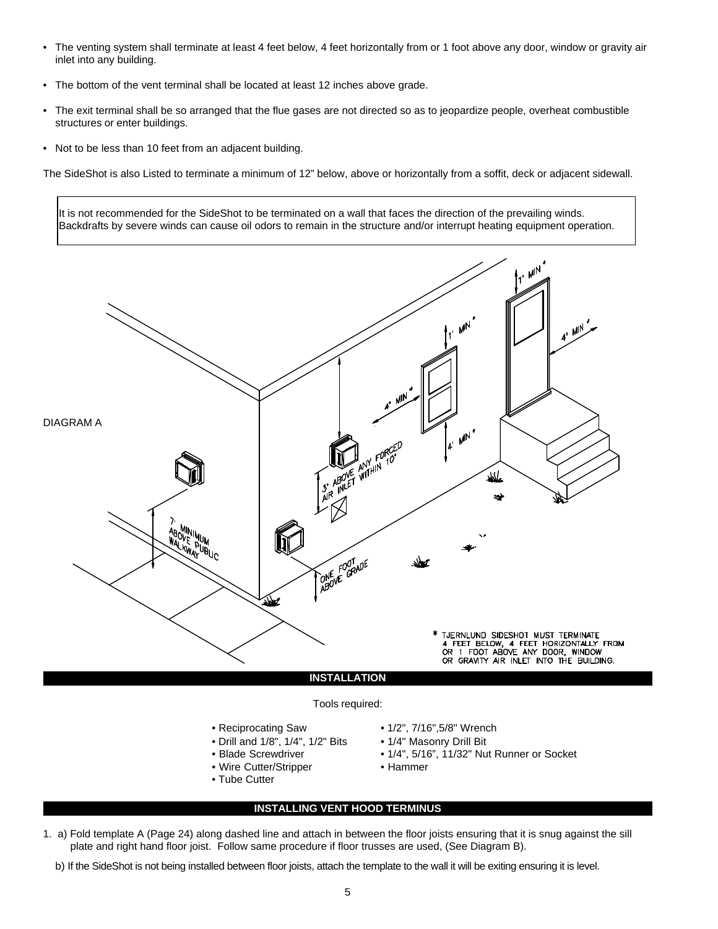- The venting system shall terminate at least 4 feet below, 4 feet horizontally from or 1 foot above any door, window or gravity air inlet into any building.
- The bottom of the vent terminal shall be located at least 12 inches above grade.
- The exit terminal shall be so arranged that the flue gases are not directed so as to jeopardize people, overheat combustible structures or enter buildings.
- Not to be less than 10 feet from an adjacent building.

The SideShot is also Listed to terminate a minimum of 12" below, above or horizontally from a soffit, deck or adjacent sidewall.

It is not recommended for the SideShot to be terminated on a wall that faces the direction of the prevailing winds. Backdrafts by severe winds can cause oil odors to remain in the structure and/or interrupt heating equipment operation.



# Tools required:

- 
- Drill and 1/8", 1/4", 1/2" Bits 1/4" Masonry Drill Bit<br>• Blade Screwdriver 1/4", 5/16", 11/32" Nu
- 
- Wire Cutter/Stripper Hammer
- Tube Cutter
- Reciprocating Saw 1/2", 7/16",5/8" Wrench
	-
	- 1/4", 5/16", 11/32" Nut Runner or Socket
	-

# **INSTALLING VENT HOOD TERMINUS**

- 1. a) Fold template A (Page 24) along dashed line and attach in between the floor joists ensuring that it is snug against the sill plate and right hand floor joist. Follow same procedure if floor trusses are used, (See Diagram B).
	- b) If the SideShot is not being installed between floor joists, attach the template to the wall it will be exiting ensuring it is level.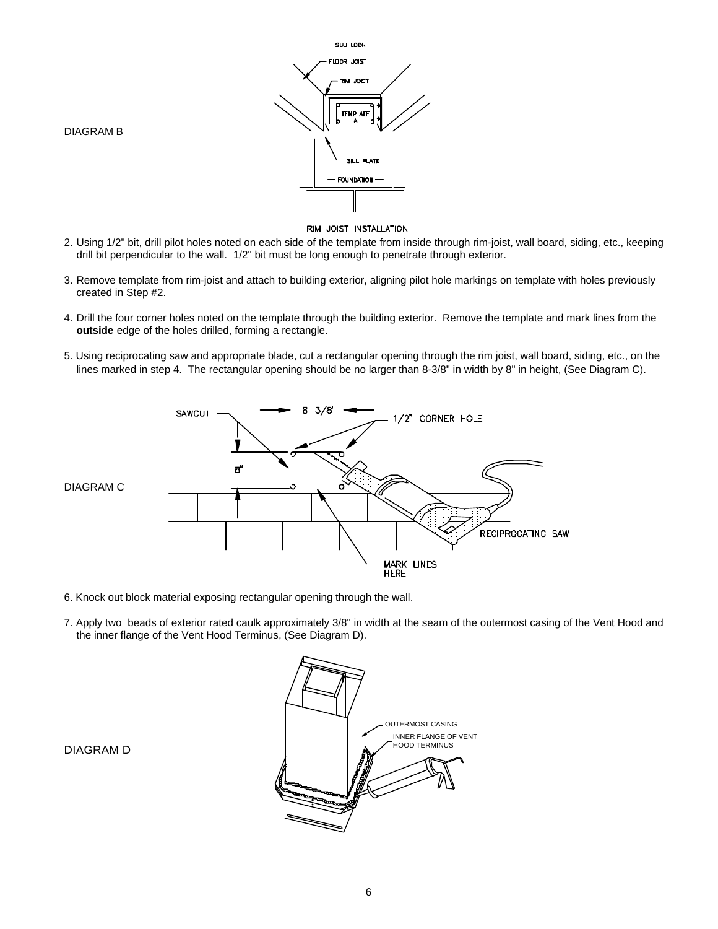



#### RIM JOIST INSTALLATION

- 2. Using 1/2" bit, drill pilot holes noted on each side of the template from inside through rim-joist, wall board, siding, etc., keeping drill bit perpendicular to the wall. 1/2" bit must be long enough to penetrate through exterior.
- 3. Remove template from rim-joist and attach to building exterior, aligning pilot hole markings on template with holes previously created in Step #2.
- 4. Drill the four corner holes noted on the template through the building exterior. Remove the template and mark lines from the **outside** edge of the holes drilled, forming a rectangle.
- 5. Using reciprocating saw and appropriate blade, cut a rectangular opening through the rim joist, wall board, siding, etc., on the lines marked in step 4. The rectangular opening should be no larger than 8-3/8" in width by 8" in height, (See Diagram C).



- 6. Knock out block material exposing rectangular opening through the wall.
- 7. Apply two beads of exterior rated caulk approximately 3/8" in width at the seam of the outermost casing of the Vent Hood and the inner flange of the Vent Hood Terminus, (See Diagram D).



DIAGRAM D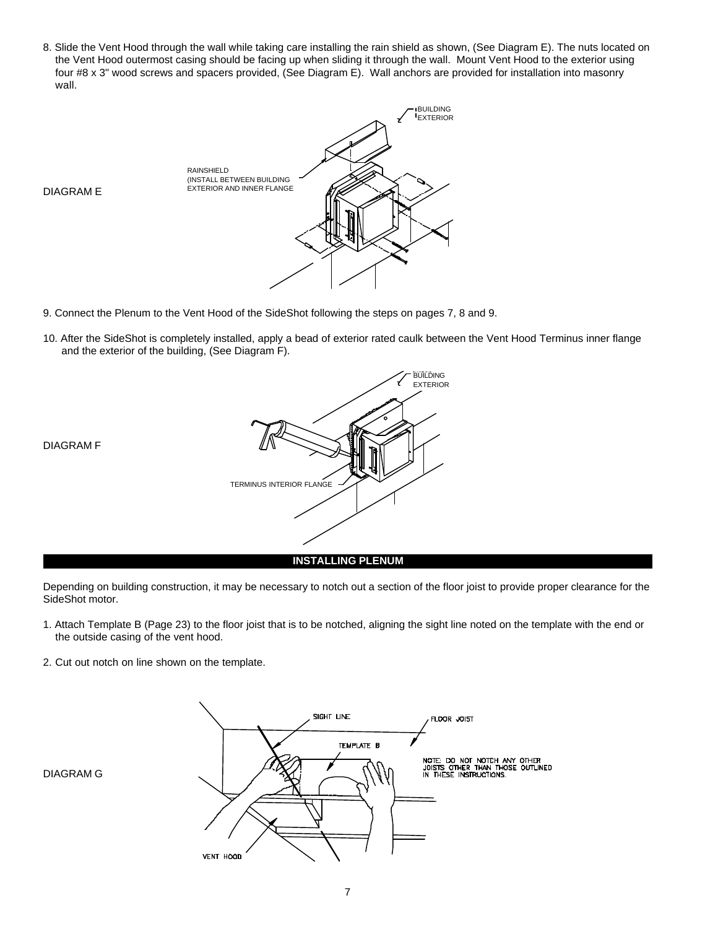8. Slide the Vent Hood through the wall while taking care installing the rain shield as shown, (See Diagram E). The nuts located on the Vent Hood outermost casing should be facing up when sliding it through the wall. Mount Vent Hood to the exterior using four #8 x 3" wood screws and spacers provided, (See Diagram E). Wall anchors are provided for installation into masonry wall.



DIAGRAM E

- 9. Connect the Plenum to the Vent Hood of the SideShot following the steps on pages 7, 8 and 9.
- 10. After the SideShot is completely installed, apply a bead of exterior rated caulk between the Vent Hood Terminus inner flange and the exterior of the building, (See Diagram F).



Depending on building construction, it may be necessary to notch out a section of the floor joist to provide proper clearance for the SideShot motor.

- 1. Attach Template B (Page 23) to the floor joist that is to be notched, aligning the sight line noted on the template with the end or the outside casing of the vent hood.
- 2. Cut out notch on line shown on the template.



DIAGRAM G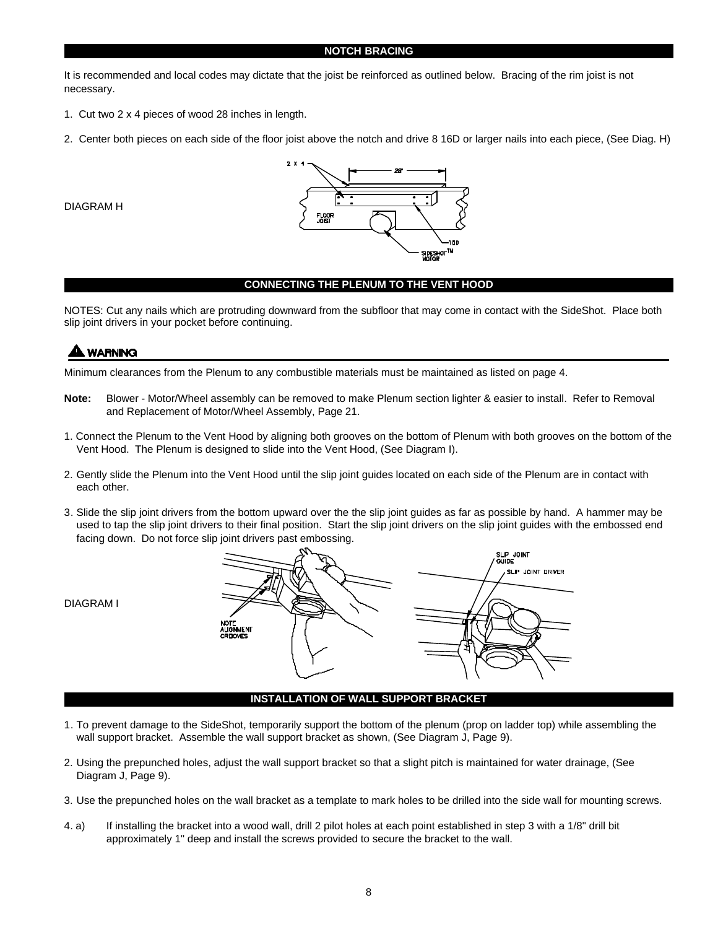### **NOTCH BRACING**

It is recommended and local codes may dictate that the joist be reinforced as outlined below. Bracing of the rim joist is not necessary.

- 1. Cut two 2 x 4 pieces of wood 28 inches in length.
- 2. Center both pieces on each side of the floor joist above the notch and drive 8 16D or larger nails into each piece, (See Diag. H)

DIAGRAM H



# **CONNECTING THE PLENUM TO THE VENT HOOD**

NOTES: Cut any nails which are protruding downward from the subfloor that may come in contact with the SideShot. Place both slip joint drivers in your pocket before continuing.

# **WARNING**

Minimum clearances from the Plenum to any combustible materials must be maintained as listed on page 4.

- **Note:** Blower Motor/Wheel assembly can be removed to make Plenum section lighter & easier to install. Refer to Removal and Replacement of Motor/Wheel Assembly, Page 21.
- 1. Connect the Plenum to the Vent Hood by aligning both grooves on the bottom of Plenum with both grooves on the bottom of the Vent Hood. The Plenum is designed to slide into the Vent Hood, (See Diagram I).
- 2. Gently slide the Plenum into the Vent Hood until the slip joint guides located on each side of the Plenum are in contact with each other.
- 3. Slide the slip joint drivers from the bottom upward over the the slip joint guides as far as possible by hand. A hammer may be used to tap the slip joint drivers to their final position. Start the slip joint drivers on the slip joint guides with the embossed end facing down. Do not force slip joint drivers past embossing.



### **INSTALLATION OF WALL SUPPORT BRACKET**

- 1. To prevent damage to the SideShot, temporarily support the bottom of the plenum (prop on ladder top) while assembling the wall support bracket. Assemble the wall support bracket as shown, (See Diagram J, Page 9).
- 2. Using the prepunched holes, adjust the wall support bracket so that a slight pitch is maintained for water drainage, (See Diagram J, Page 9).
- 3. Use the prepunched holes on the wall bracket as a template to mark holes to be drilled into the side wall for mounting screws.
- 4. a) If installing the bracket into a wood wall, drill 2 pilot holes at each point established in step 3 with a 1/8" drill bit approximately 1" deep and install the screws provided to secure the bracket to the wall.

DIAGRAM I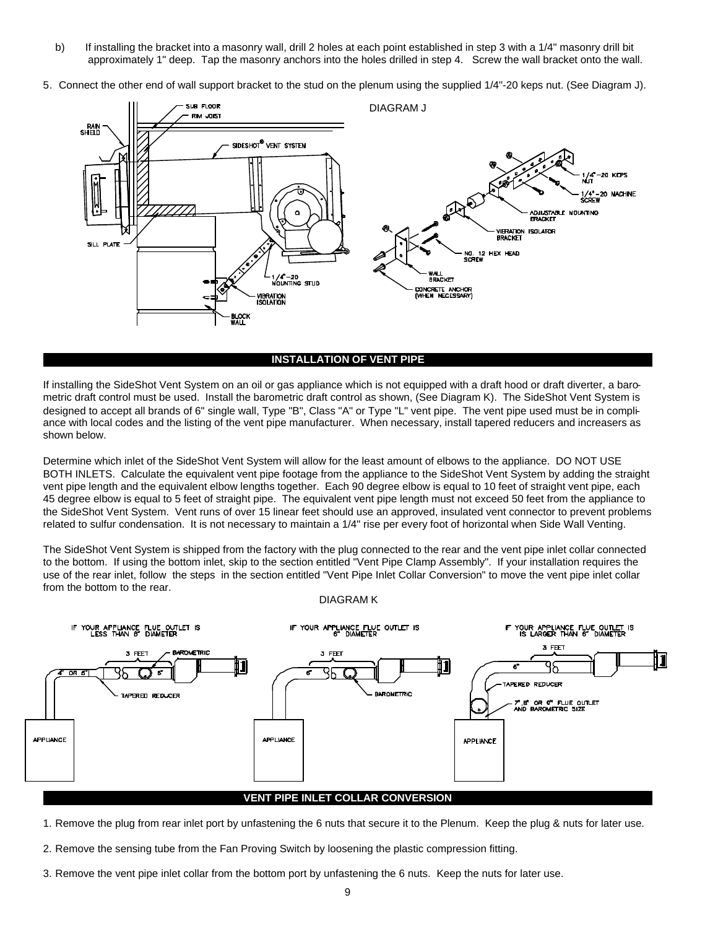- b) If installing the bracket into a masonry wall, drill 2 holes at each point established in step 3 with a 1/4" masonry drill bit approximately 1" deep. Tap the masonry anchors into the holes drilled in step 4. Screw the wall bracket onto the wall.
- 5. Connect the other end of wall support bracket to the stud on the plenum using the supplied 1/4"-20 keps nut. (See Diagram J).



#### **INSTALLATION OF VENT PIPE**

If installing the SideShot Vent System on an oil or gas appliance which is not equipped with a draft hood or draft diverter, a barometric draft control must be used. Install the barometric draft control as shown, (See Diagram K). The SideShot Vent System is designed to accept all brands of 6" single wall, Type "B", Class "A" or Type "L" vent pipe. The vent pipe used must be in compliance with local codes and the listing of the vent pipe manufacturer. When necessary, install tapered reducers and increasers as shown below.

Determine which inlet of the SideShot Vent System will allow for the least amount of elbows to the appliance. DO NOT USE BOTH INLETS. Calculate the equivalent vent pipe footage from the appliance to the SideShot Vent System by adding the straight vent pipe length and the equivalent elbow lengths together. Each 90 degree elbow is equal to 10 feet of straight vent pipe, each 45 degree elbow is equal to 5 feet of straight pipe. The equivalent vent pipe length must not exceed 50 feet from the appliance to the SideShot Vent System. Vent runs of over 15 linear feet should use an approved, insulated vent connector to prevent problems related to sulfur condensation. It is not necessary to maintain a 1/4" rise per every foot of horizontal when Side Wall Venting.

The SideShot Vent System is shipped from the factory with the plug connected to the rear and the vent pipe inlet collar connected to the bottom. If using the bottom inlet, skip to the section entitled "Vent Pipe Clamp Assembly". If your installation requires the use of the rear inlet, follow the steps in the section entitled "Vent Pipe Inlet Collar Conversion" to move the vent pipe inlet collar from the bottom to the rear.

#### DIAGRAM K



- 1. Remove the plug from rear inlet port by unfastening the 6 nuts that secure it to the Plenum. Keep the plug & nuts for later use.
- 2. Remove the sensing tube from the Fan Proving Switch by loosening the plastic compression fitting.
- 3. Remove the vent pipe inlet collar from the bottom port by unfastening the 6 nuts. Keep the nuts for later use.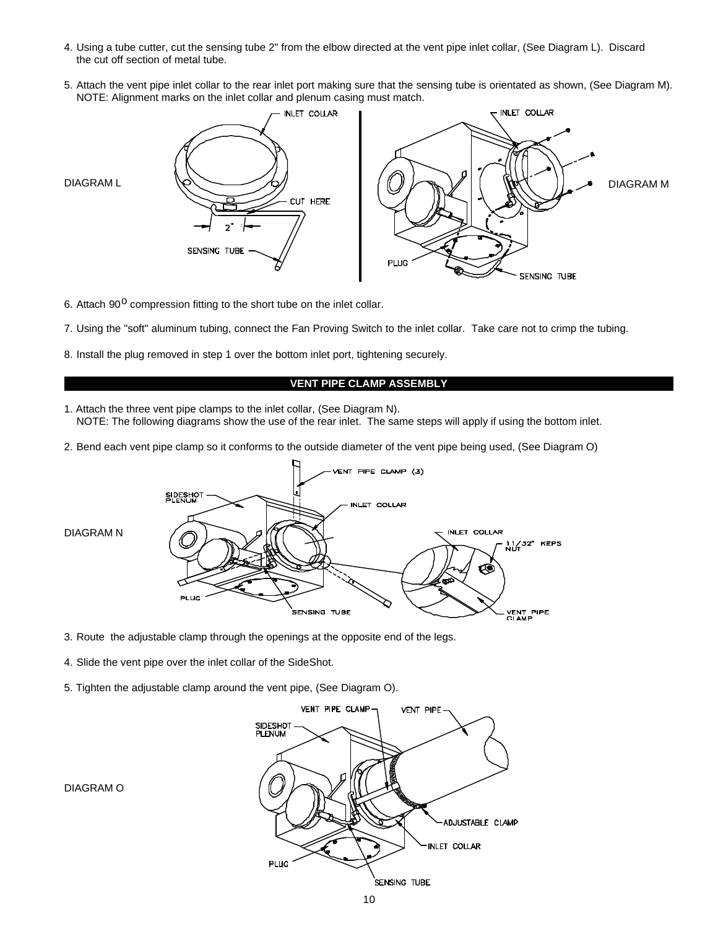- 4. Using a tube cutter, cut the sensing tube 2" from the elbow directed at the vent pipe inlet collar, (See Diagram L). Discard the cut off section of metal tube.
- 5. Attach the vent pipe inlet collar to the rear inlet port making sure that the sensing tube is orientated as shown, (See Diagram M). NOTE: Alignment marks on the inlet collar and plenum casing must match.



6. Attach 90<sup>o</sup> compression fitting to the short tube on the inlet collar.

- 7. Using the "soft" aluminum tubing, connect the Fan Proving Switch to the inlet collar. Take care not to crimp the tubing.
- 8. Install the plug removed in step 1 over the bottom inlet port, tightening securely.

### **VENT PIPE CLAMP ASSEMBLY**

- 1. Attach the three vent pipe clamps to the inlet collar, (See Diagram N). NOTE: The following diagrams show the use of the rear inlet. The same steps will apply if using the bottom inlet.
- 2. Bend each vent pipe clamp so it conforms to the outside diameter of the vent pipe being used, (See Diagram O)



- 3. Route the adjustable clamp through the openings at the opposite end of the legs.
- 4. Slide the vent pipe over the inlet collar of the SideShot.
- 5. Tighten the adjustable clamp around the vent pipe, (See Diagram O).



DIAGRAM O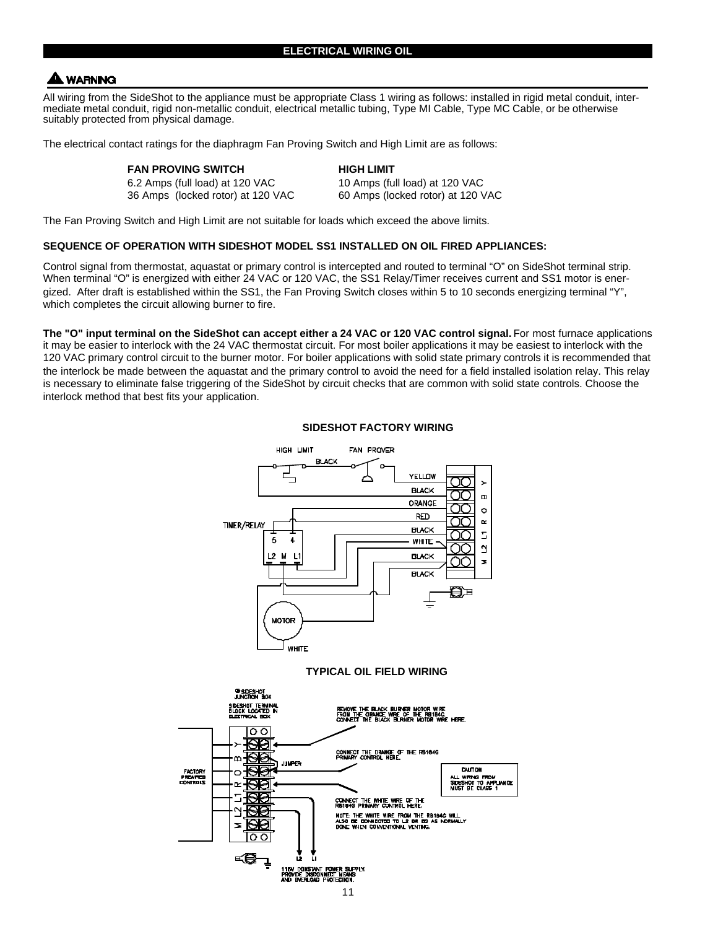# **A WARNING**

All wiring from the SideShot to the appliance must be appropriate Class 1 wiring as follows: installed in rigid metal conduit, intermediate metal conduit, rigid non-metallic conduit, electrical metallic tubing, Type MI Cable, Type MC Cable, or be otherwise suitably protected from physical damage.

The electrical contact ratings for the diaphragm Fan Proving Switch and High Limit are as follows:

| <b>FAN PROVING SWITCH</b>         | <b>HIGH LIMIT</b>                 |
|-----------------------------------|-----------------------------------|
| 6.2 Amps (full load) at 120 VAC   | 10 Amps (full load) at 120 VAC    |
| 36 Amps (locked rotor) at 120 VAC | 60 Amps (locked rotor) at 120 VAC |

The Fan Proving Switch and High Limit are not suitable for loads which exceed the above limits.

## **SEQUENCE OF OPERATION WITH SIDESHOT MODEL SS1 INSTALLED ON OIL FIRED APPLIANCES:**

Control signal from thermostat, aquastat or primary control is intercepted and routed to terminal "O" on SideShot terminal strip. When terminal "O" is energized with either 24 VAC or 120 VAC, the SS1 Relay/Timer receives current and SS1 motor is energized. After draft is established within the SS1, the Fan Proving Switch closes within 5 to 10 seconds energizing terminal "Y", which completes the circuit allowing burner to fire.

The "O" input terminal on the SideShot can accept either a 24 VAC or 120 VAC control signal. For most furnace applications it may be easier to interlock with the 24 VAC thermostat circuit. For most boiler applications it may be easiest to interlock with the 120 VAC primary control circuit to the burner motor. For boiler applications with solid state primary controls it is recommended that the interlock be made between the aquastat and the primary control to avoid the need for a field installed isolation relay. This relay is necessary to eliminate false triggering of the SideShot by circuit checks that are common with solid state controls. Choose the interlock method that best fits your application.



### **SIDESHOT FACTORY WIRING**

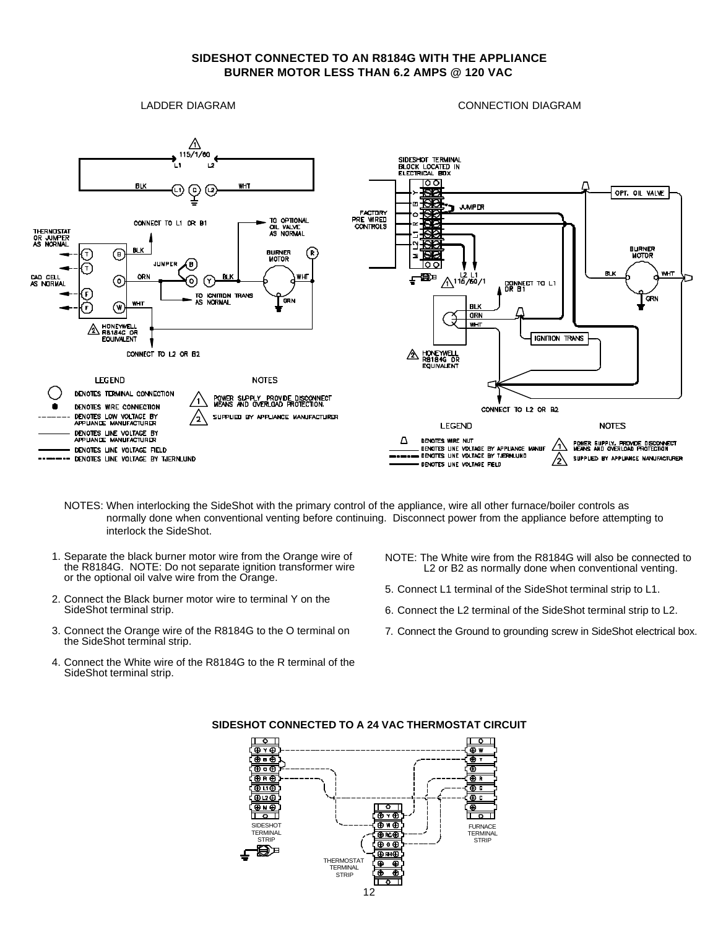# **SIDESHOT CONNECTED TO AN R8184G WITH THE APPLIANCE BURNER MOTOR LESS THAN 6.2 AMPS @ 120 VAC**

LADDER DIAGRAM

CONNECTION DIAGRAM



- NOTES: When interlocking the SideShot with the primary control of the appliance, wire all other furnace/boiler controls as normally done when conventional venting before continuing. Disconnect power from the appliance before attempting to interlock the SideShot.
- 1. Separate the black burner motor wire from the Orange wire of the R8184G. NOTE: Do not separate ignition transformer wire or the optional oil valve wire from the Orange.
- 2. Connect the Black burner motor wire to terminal Y on the SideShot terminal strip.
- 3. Connect the Orange wire of the R8184G to the O terminal on the SideShot terminal strip.
- 4. Connect the White wire of the R8184G to the R terminal of the SideShot terminal strip.
- NOTE: The White wire from the R8184G will also be connected to L2 or B2 as normally done when conventional venting.
- 5. Connect L1 terminal of the SideShot terminal strip to L1.
- 6. Connect the L2 terminal of the SideShot terminal strip to L2.
- 7. Connect the Ground to grounding screw in SideShot electrical box.



### **SIDESHOT CONNECTED TO A 24 VAC THERMOSTAT CIRCUIT**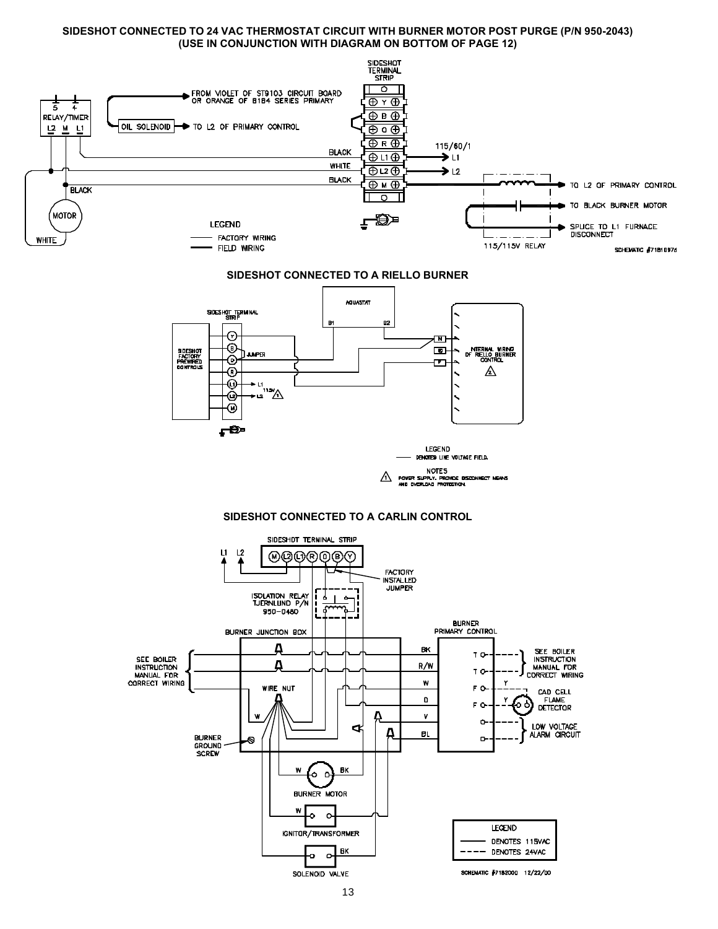### **SIDESHOT CONNECTED TO 24 VAC THERMOSTAT CIRCUIT WITH BURNER MOTOR POST PURGE (P/N 950-2043) (USE IN CONJUNCTION WITH DIAGRAM ON BOTTOM OF PAGE 12)**



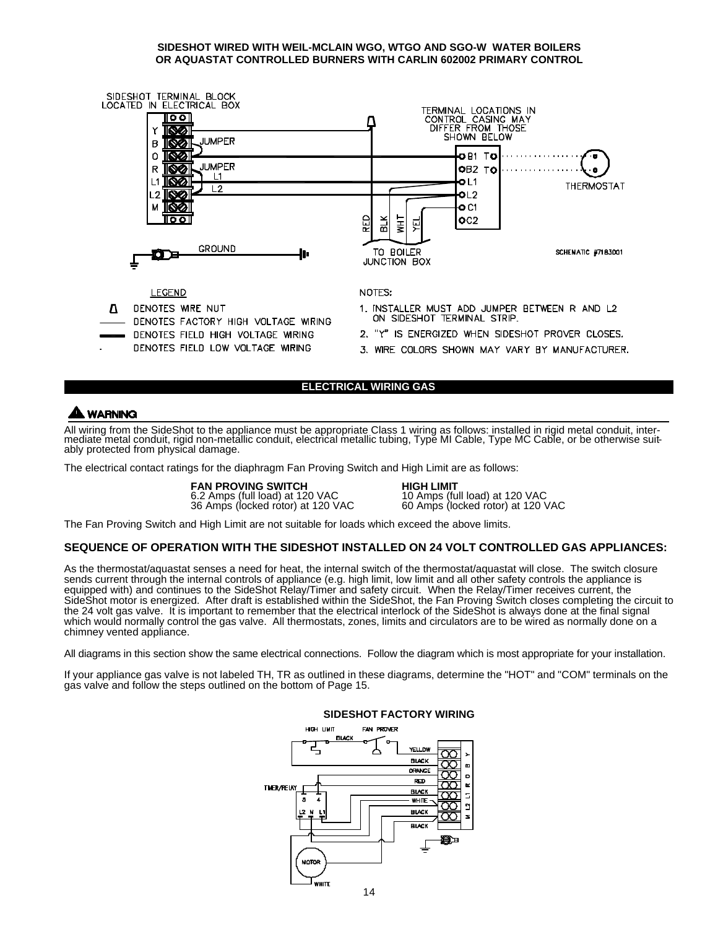### **SIDESHOT WIRED WITH WEIL-MCLAIN WGO, WTGO AND SGO-W WATER BOILERS OR AQUASTAT CONTROLLED BURNERS WITH CARLIN 602002 PRIMARY CONTROL**



# **ELECTRICAL WIRING GAS**

# **A WARNING**

All wiring from the SideShot to the appliance must be appropriate Class 1 wiring as follows: installed in rigid metal conduit, intermediate metal conduit, rigid non-metallic conduit, electrical metallic tubing, Type MI Cable, Type MC Cable, or be otherwise suitably protected from physical damage.

The electrical contact ratings for the diaphragm Fan Proving Switch and High Limit are as follows:

**FAN PROVING SWITCH HIGH LIMIT** 6.2 Amps (full load) at 120 VAC 10 Amps (full load) at 120 VAC 36 Amps (locked rotor) at 120 VAC 60 Amps (locked rotor) at 120 VAC

The Fan Proving Switch and High Limit are not suitable for loads which exceed the above limits.

### **SEQUENCE OF OPERATION WITH THE SIDESHOT INSTALLED ON 24 VOLT CONTROLLED GAS APPLIANCES:**

As the thermostat/aquastat senses a need for heat, the internal switch of the thermostat/aquastat will close. The switch closure sends current through the internal controls of appliance (e.g. high limit, low limit and all other safety controls the appliance is equipped with) and continues to the SideShot Relay/Timer and safety circuit. When the Relay/Timer receives current, the SideShot motor is energized. After draft is established within the SideShot, the Fan Proving Switch closes completing the circuit to the 24 volt gas valve. It is important to remember that the electrical interlock of the SideShot is always done at the final signal which would normally control the gas valve. All thermostats, zones, limits and circulators are to be wired as normally done on a chimney vented appliance.

All diagrams in this section show the same electrical connections. Follow the diagram which is most appropriate for your installation.

If your appliance gas valve is not labeled TH, TR as outlined in these diagrams, determine the "HOT" and "COM" terminals on the gas valve and follow the steps outlined on the bottom of Page 15.



#### **SIDESHOT FACTORY WIRING**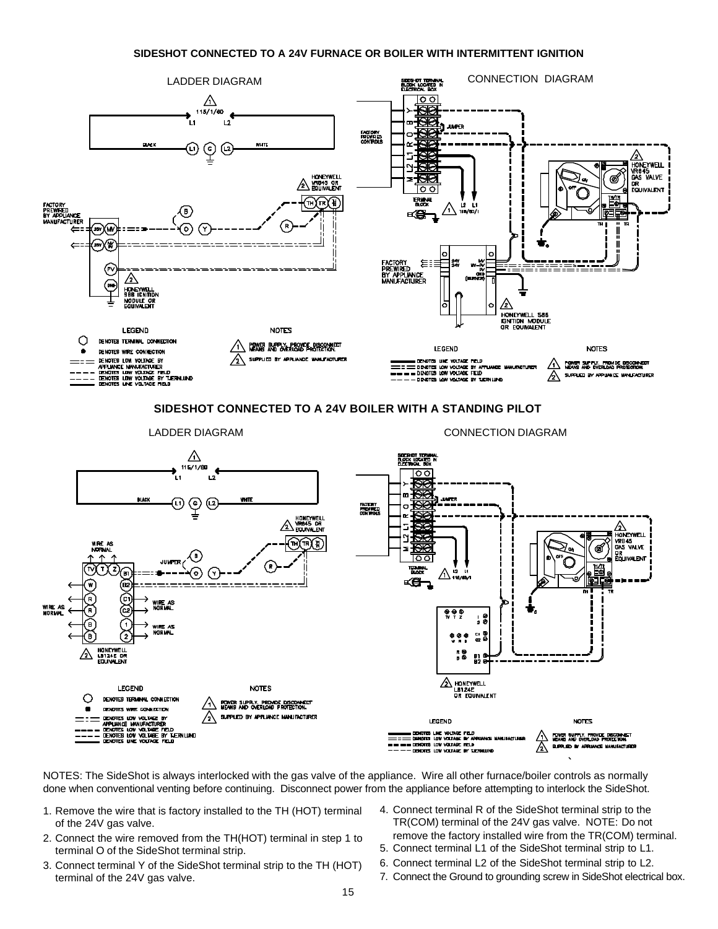### **SIDESHOT CONNECTED TO A 24V FURNACE OR BOILER WITH INTERMITTENT IGNITION**



NOTES: The SideShot is always interlocked with the gas valve of the appliance. Wire all other furnace/boiler controls as normally done when conventional venting before continuing. Disconnect power from the appliance before attempting to interlock the SideShot.

- 1. Remove the wire that is factory installed to the TH (HOT) terminal of the 24V gas valve.
- 2. Connect the wire removed from the TH(HOT) terminal in step 1 to terminal O of the SideShot terminal strip.
- 3. Connect terminal Y of the SideShot terminal strip to the TH (HOT) terminal of the 24V gas valve.
- 4. Connect terminal R of the SideShot terminal strip to the TR(COM) terminal of the 24V gas valve. NOTE: Do not remove the factory installed wire from the TR(COM) terminal.
- 5. Connect terminal L1 of the SideShot terminal strip to L1.
- 6. Connect terminal L2 of the SideShot terminal strip to L2.
- 7. Connect the Ground to grounding screw in SideShot electrical box.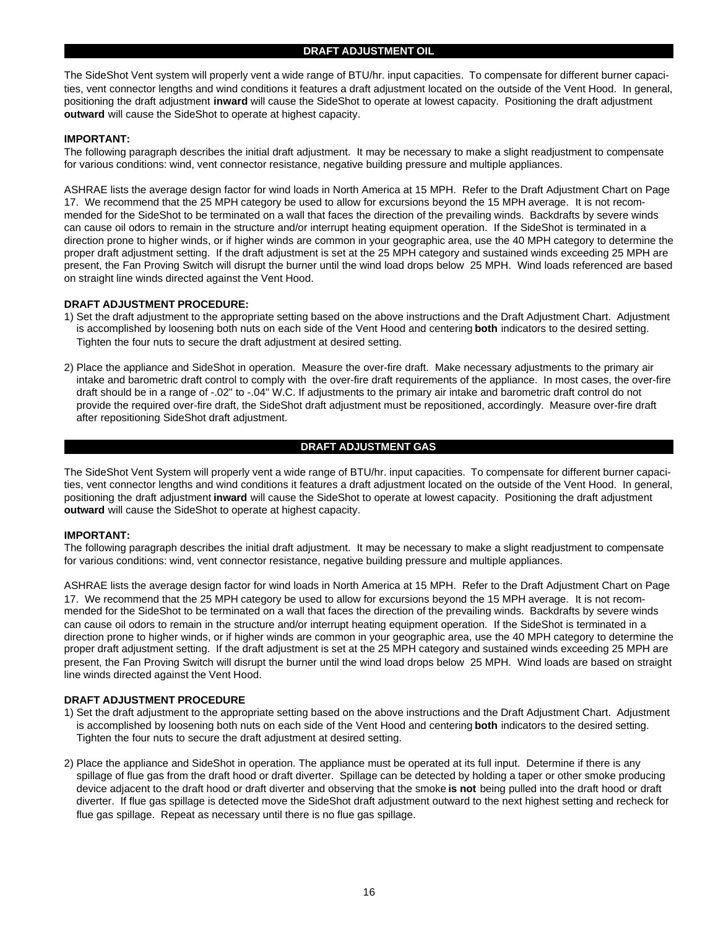The SideShot Vent system will properly vent a wide range of BTU/hr. input capacities. To compensate for different burner capacities, vent connector lengths and wind conditions it features a draft adjustment located on the outside of the Vent Hood. In general, positioning the draft adjustment **inward** will cause the SideShot to operate at lowest capacity. Positioning the draft adjustment **outward** will cause the SideShot to operate at highest capacity.

### **IMPORTANT:**

The following paragraph describes the initial draft adjustment. It may be necessary to make a slight readjustment to compensate for various conditions: wind, vent connector resistance, negative building pressure and multiple appliances.

ASHRAE lists the average design factor for wind loads in North America at 15 MPH. Refer to the Draft Adjustment Chart on Page 17. We recommend that the 25 MPH category be used to allow for excursions beyond the 15 MPH average. It is not recommended for the SideShot to be terminated on a wall that faces the direction of the prevailing winds. Backdrafts by severe winds can cause oil odors to remain in the structure and/or interrupt heating equipment operation. If the SideShot is terminated in a direction prone to higher winds, or if higher winds are common in your geographic area, use the 40 MPH category to determine the proper draft adjustment setting. If the draft adjustment is set at the 25 MPH category and sustained winds exceeding 25 MPH are present, the Fan Proving Switch will disrupt the burner until the wind load drops below 25 MPH. Wind loads referenced are based on straight line winds directed against the Vent Hood.

## **DRAFT ADJUSTMENT PROCEDURE:**

- 1) Set the draft adjustment to the appropriate setting based on the above instructions and the Draft Adjustment Chart. Adjustment is accomplished by loosening both nuts on each side of the Vent Hood and centering **both** indicators to the desired setting. Tighten the four nuts to secure the draft adjustment at desired setting.
- 2) Place the appliance and SideShot in operation. Measure the over-fire draft. Make necessary adjustments to the primary air intake and barometric draft control to comply with the over-fire draft requirements of the appliance. In most cases, the over-fire draft should be in a range of -.02" to -.04" W.C. If adjustments to the primary air intake and barometric draft control do not provide the required over-fire draft, the SideShot draft adjustment must be repositioned, accordingly. Measure over-fire draft after repositioning SideShot draft adjustment.

# **DRAFT ADJUSTMENT GAS**

The SideShot Vent System will properly vent a wide range of BTU/hr. input capacities. To compensate for different burner capacities, vent connector lengths and wind conditions it features a draft adjustment located on the outside of the Vent Hood. In general, positioning the draft adjustment **inward** will cause the SideShot to operate at lowest capacity. Positioning the draft adjustment **outward** will cause the SideShot to operate at highest capacity.

### **IMPORTANT:**

The following paragraph describes the initial draft adjustment. It may be necessary to make a slight readjustment to compensate for various conditions: wind, vent connector resistance, negative building pressure and multiple appliances.

ASHRAE lists the average design factor for wind loads in North America at 15 MPH. Refer to the Draft Adjustment Chart on Page 17. We recommend that the 25 MPH category be used to allow for excursions beyond the 15 MPH average. It is not recommended for the SideShot to be terminated on a wall that faces the direction of the prevailing winds. Backdrafts by severe winds can cause oil odors to remain in the structure and/or interrupt heating equipment operation. If the SideShot is terminated in a direction prone to higher winds, or if higher winds are common in your geographic area, use the 40 MPH category to determine the proper draft adjustment setting. If the draft adjustment is set at the 25 MPH category and sustained winds exceeding 25 MPH are present, the Fan Proving Switch will disrupt the burner until the wind load drops below 25 MPH. Wind loads are based on straight line winds directed against the Vent Hood.

### **DRAFT ADJUSTMENT PROCEDURE**

- 1) Set the draft adjustment to the appropriate setting based on the above instructions and the Draft Adjustment Chart. Adjustment is accomplished by loosening both nuts on each side of the Vent Hood and centering **both** indicators to the desired setting. Tighten the four nuts to secure the draft adjustment at desired setting.
- 2) Place the appliance and SideShot in operation. The appliance must be operated at its full input. Determine if there is any spillage of flue gas from the draft hood or draft diverter. Spillage can be detected by holding a taper or other smoke producing device adjacent to the draft hood or draft diverter and observing that the smoke **is not** being pulled into the draft hood or draft diverter. If flue gas spillage is detected move the SideShot draft adjustment outward to the next highest setting and recheck for flue gas spillage. Repeat as necessary until there is no flue gas spillage.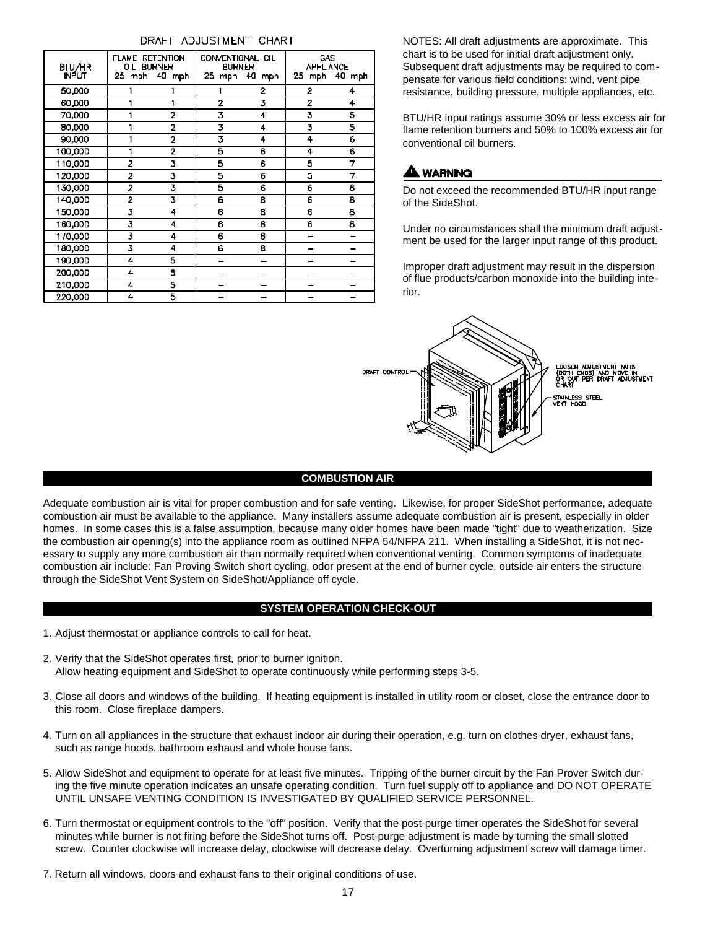| BTU/HR<br>INPUT | <b>FLAME RETENTION</b><br>OIL BURNER | 25 mph 40 mph  | CONVENTIONAL OIL<br><b>BURNER</b><br>25 mph | 40 mph | CAS.<br><b>APPLIANCE</b><br>25. | mph 40 mph |
|-----------------|--------------------------------------|----------------|---------------------------------------------|--------|---------------------------------|------------|
| 50,000          |                                      |                |                                             | 2      | 2                               | 4          |
| 60.DO           |                                      |                | 2                                           | 3      | 2                               | 4          |
| 70,DOO          | 1                                    | $\overline{2}$ | 3                                           | 4      | 3                               | 5          |
| 80,000          | 1                                    | $\overline{2}$ | 3                                           | 4      | 3                               | 5          |
| 90.000          |                                      | $\overline{2}$ | 3                                           | 4      | 4                               | 6          |
| 100,00D         | 1                                    | $\overline{2}$ | 5                                           | 6      | 4                               | 6          |
| 110,00D         | Ż                                    | 3              | 5                                           | 6      | 5                               | 7          |
| 120,000         | 2                                    | 3              | 5                                           | 6      | 5                               | 7          |
| 130,000         | 2                                    | 3              | 5                                           | 6      | 6                               | 8          |
| 140,00D         | 2                                    | 3              | Ê                                           | 8      | 6                               | 8          |
| 150,00D         | 3                                    | 4              | 6                                           | 8      | 6                               | 8          |
| 160,000         | 3                                    | 4              | 6                                           | 8      | 0                               | 8          |
| 170,000         | 3                                    | 4              | 6                                           | 8      |                                 |            |
| 180,000         | 3                                    | 4              | É                                           | 8      |                                 |            |
| 190,000         | 4                                    | 5              |                                             |        |                                 |            |
| 200,000         | 4                                    | 5              |                                             |        |                                 |            |
| 210,000         | 4                                    | 5              |                                             |        |                                 |            |
| 220,000         | 4                                    | 5              |                                             |        |                                 |            |

# DRAFT ADJUSTMENT CHART

NOTES: All draft adjustments are approximate. This chart is to be used for initial draft adjustment only. Subsequent draft adjustments may be required to compensate for various field conditions: wind, vent pipe resistance, building pressure, multiple appliances, etc.

BTU/HR input ratings assume 30% or less excess air for flame retention burners and 50% to 100% excess air for conventional oil burners.

# **A WARNING**

Do not exceed the recommended BTU/HR input range of the SideShot.

Under no circumstances shall the minimum draft adjustment be used for the larger input range of this product.

Improper draft adjustment may result in the dispersion of flue products/carbon monoxide into the building interior.



# **COMBUSTION AIR**

Adequate combustion air is vital for proper combustion and for safe venting. Likewise, for proper SideShot performance, adequate combustion air must be available to the appliance. Many installers assume adequate combustion air is present, especially in older homes. In some cases this is a false assumption, because many older homes have been made "tight" due to weatherization. Size the combustion air opening(s) into the appliance room as outlined NFPA 54/NFPA 211. When installing a SideShot, it is not necessary to supply any more combustion air than normally required when conventional venting. Common symptoms of inadequate combustion air include: Fan Proving Switch short cycling, odor present at the end of burner cycle, outside air enters the structure through the SideShot Vent System on SideShot/Appliance off cycle.

# **SYSTEM OPERATION CHECK-OUT**

- 1. Adjust thermostat or appliance controls to call for heat.
- 2. Verify that the SideShot operates first, prior to burner ignition. Allow heating equipment and SideShot to operate continuously while performing steps 3-5.
- 3. Close all doors and windows of the building. If heating equipment is installed in utility room or closet, close the entrance door to this room. Close fireplace dampers.
- 4. Turn on all appliances in the structure that exhaust indoor air during their operation, e.g. turn on clothes dryer, exhaust fans, such as range hoods, bathroom exhaust and whole house fans.
- 5. Allow SideShot and equipment to operate for at least five minutes. Tripping of the burner circuit by the Fan Prover Switch during the five minute operation indicates an unsafe operating condition. Turn fuel supply off to appliance and DO NOT OPERATE UNTIL UNSAFE VENTING CONDITION IS INVESTIGATED BY QUALIFIED SERVICE PERSONNEL.
- 6. Turn thermostat or equipment controls to the "off" position. Verify that the post-purge timer operates the SideShot for several minutes while burner is not firing before the SideShot turns off. Post-purge adjustment is made by turning the small slotted screw. Counter clockwise will increase delay, clockwise will decrease delay. Overturning adjustment screw will damage timer.
- 7. Return all windows, doors and exhaust fans to their original conditions of use.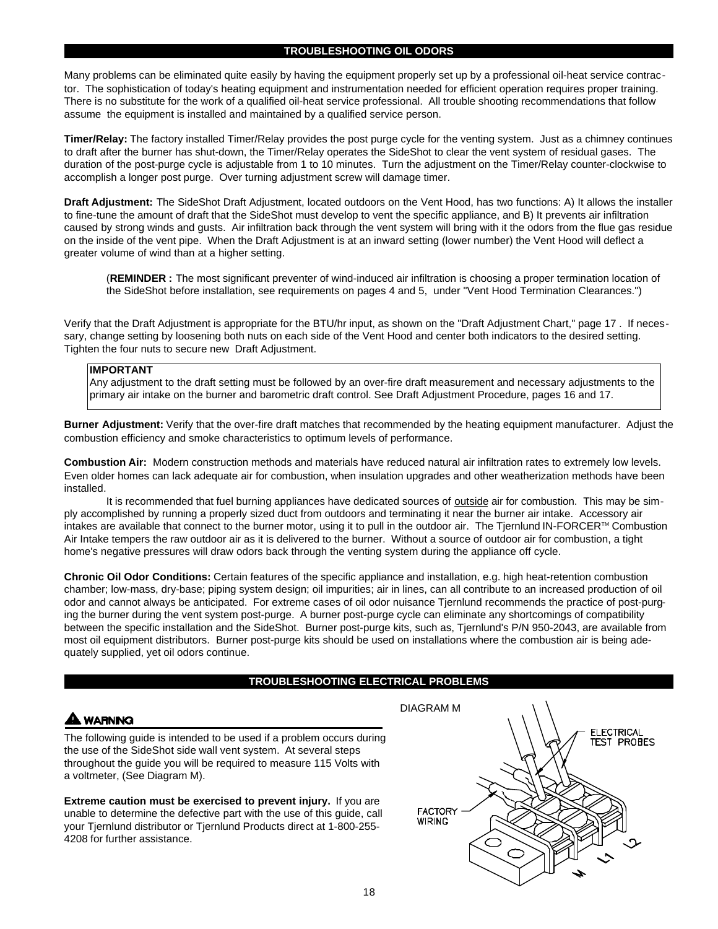### **TROUBLESHOOTING OIL ODORS**

Many problems can be eliminated quite easily by having the equipment properly set up by a professional oil-heat service contractor. The sophistication of today's heating equipment and instrumentation needed for efficient operation requires proper training. There is no substitute for the work of a qualified oil-heat service professional. All trouble shooting recommendations that follow assume the equipment is installed and maintained by a qualified service person.

**Timer/Relay:** The factory installed Timer/Relay provides the post purge cycle for the venting system. Just as a chimney continues to draft after the burner has shut-down, the Timer/Relay operates the SideShot to clear the vent system of residual gases. The duration of the post-purge cycle is adjustable from 1 to 10 minutes. Turn the adjustment on the Timer/Relay counter-clockwise to accomplish a longer post purge. Over turning adjustment screw will damage timer.

**Draft Adjustment:** The SideShot Draft Adjustment, located outdoors on the Vent Hood, has two functions: A) It allows the installer to fine-tune the amount of draft that the SideShot must develop to vent the specific appliance, and B) It prevents air infiltration caused by strong winds and gusts. Air infiltration back through the vent system will bring with it the odors from the flue gas residue on the inside of the vent pipe. When the Draft Adjustment is at an inward setting (lower number) the Vent Hood will deflect a greater volume of wind than at a higher setting.

(**REMINDER :** The most significant preventer of wind-induced air infiltration is choosing a proper termination location of the SideShot before installation, see requirements on pages 4 and 5, under "Vent Hood Termination Clearances.")

Verify that the Draft Adjustment is appropriate for the BTU/hr input, as shown on the "Draft Adjustment Chart," page 17 . If necessary, change setting by loosening both nuts on each side of the Vent Hood and center both indicators to the desired setting. Tighten the four nuts to secure new Draft Adjustment.

#### **IMPORTANT**

Any adjustment to the draft setting must be followed by an over-fire draft measurement and necessary adjustments to the primary air intake on the burner and barometric draft control. See Draft Adjustment Procedure, pages 16 and 17.

**Burner Adjustment:** Verify that the over-fire draft matches that recommended by the heating equipment manufacturer. Adjust the combustion efficiency and smoke characteristics to optimum levels of performance.

**Combustion Air:** Modern construction methods and materials have reduced natural air infiltration rates to extremely low levels. Even older homes can lack adequate air for combustion, when insulation upgrades and other weatherization methods have been installed.

It is recommended that fuel burning appliances have dedicated sources of outside air for combustion. This may be simply accomplished by running a properly sized duct from outdoors and terminating it near the burner air intake. Accessory air intakes are available that connect to the burner motor, using it to pull in the outdoor air. The Tjernlund IN-FORCER™ Combustion Air Intake tempers the raw outdoor air as it is delivered to the burner. Without a source of outdoor air for combustion, a tight home's negative pressures will draw odors back through the venting system during the appliance off cycle.

**Chronic Oil Odor Conditions:** Certain features of the specific appliance and installation, e.g. high heat-retention combustion chamber; low-mass, dry-base; piping system design; oil impurities; air in lines, can all contribute to an increased production of oil odor and cannot always be anticipated. For extreme cases of oil odor nuisance Tjernlund recommends the practice of post-purging the burner during the vent system post-purge. A burner post-purge cycle can eliminate any shortcomings of compatibility between the specific installation and the SideShot. Burner post-purge kits, such as, Tjernlund's P/N 950-2043, are available from most oil equipment distributors. Burner post-purge kits should be used on installations where the combustion air is being adequately supplied, yet oil odors continue.

### **TROUBLESHOOTING ELECTRICAL PROBLEMS**

# **WARNING**

The following guide is intended to be used if a problem occurs during the use of the SideShot side wall vent system. At several steps throughout the guide you will be required to measure 115 Volts with a voltmeter, (See Diagram M).

**Extreme caution must be exercised to prevent injury.** If you are unable to determine the defective part with the use of this guide, call your Tjernlund distributor or Tjernlund Products direct at 1-800-255- 4208 for further assistance.

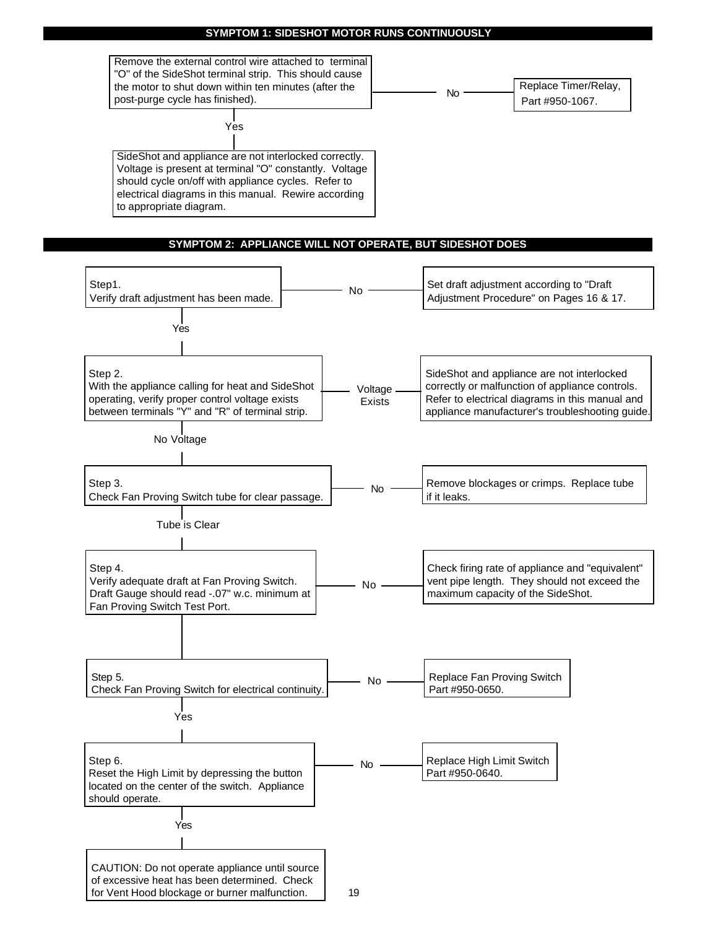## **SYMPTOM 1: SIDESHOT MOTOR RUNS CONTINUOUSLY**

Remove the external control wire attached to terminal "O" of the SideShot terminal strip. This should cause the motor to shut down within ten minutes (after the post-purge cycle has finished).

Yes

Replace Timer/Relay, Part #950-1067. No

SideShot and appliance are not interlocked correctly. Voltage is present at terminal "O" constantly. Voltage should cycle on/off with appliance cycles. Refer to electrical diagrams in this manual. Rewire according to appropriate diagram.

# **SYMPTOM 2: APPLIANCE WILL NOT OPERATE, BUT SIDESHOT DOES**

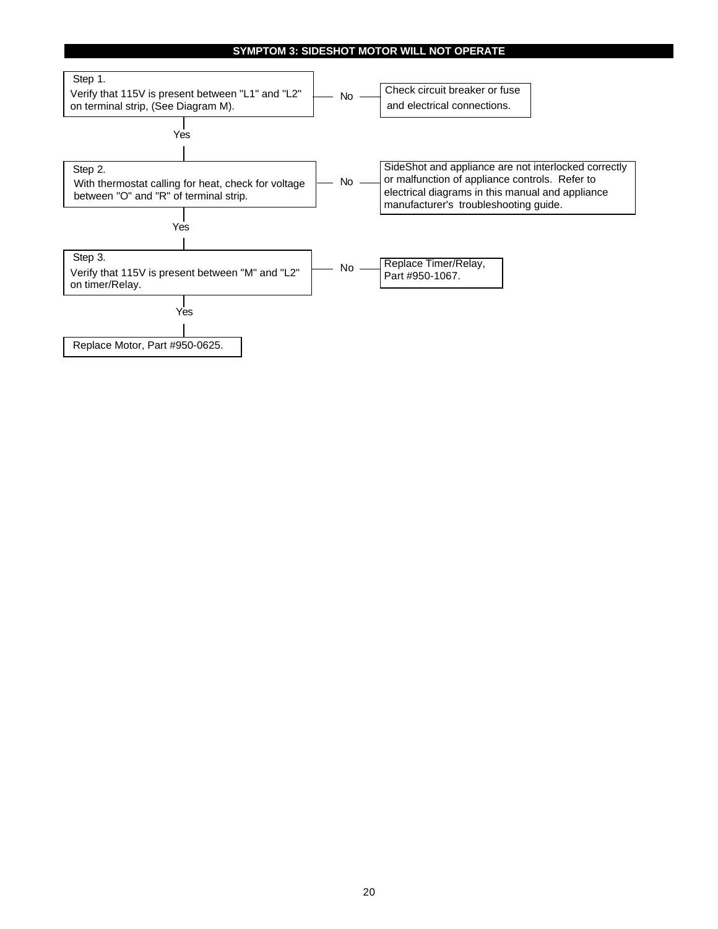# **SYMPTOM 3: SIDESHOT MOTOR WILL NOT OPERATE**

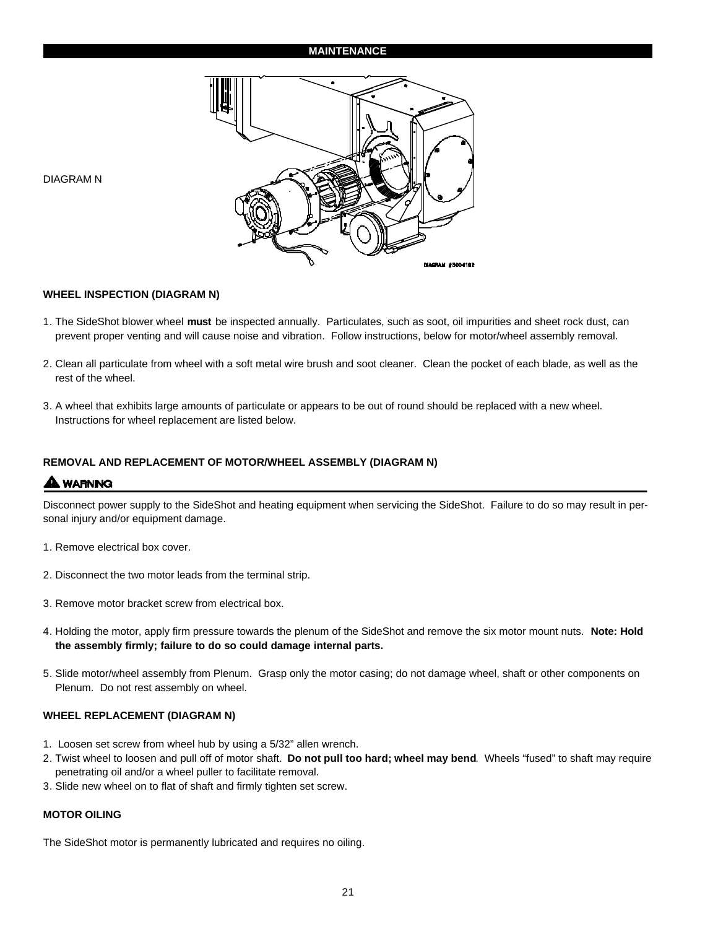# **MAINTENANCE**



DIAGRAM N

### **WHEEL INSPECTION (DIAGRAM N)**

- 1. The SideShot blower wheel **must** be inspected annually. Particulates, such as soot, oil impurities and sheet rock dust, can prevent proper venting and will cause noise and vibration. Follow instructions, below for motor/wheel assembly removal.
- 2. Clean all particulate from wheel with a soft metal wire brush and soot cleaner. Clean the pocket of each blade, as well as the rest of the wheel.
- 3. A wheel that exhibits large amounts of particulate or appears to be out of round should be replaced with a new wheel. Instructions for wheel replacement are listed below.

## **REMOVAL AND REPLACEMENT OF MOTOR/WHEEL ASSEMBLY (DIAGRAM N)**

# **A WARNING**

Disconnect power supply to the SideShot and heating equipment when servicing the SideShot. Failure to do so may result in personal injury and/or equipment damage.

- 1. Remove electrical box cover.
- 2. Disconnect the two motor leads from the terminal strip.
- 3. Remove motor bracket screw from electrical box.
- 4. Holding the motor, apply firm pressure towards the plenum of the SideShot and remove the six motor mount nuts. **Note: Hold the assembly firmly; failure to do so could damage internal parts.**
- 5. Slide motor/wheel assembly from Plenum. Grasp only the motor casing; do not damage wheel, shaft or other components on Plenum. Do not rest assembly on wheel.

### **WHEEL REPLACEMENT (DIAGRAM N)**

- 1. Loosen set screw from wheel hub by using a 5/32" allen wrench.
- 2. Twist wheel to loosen and pull off of motor shaft. **Do not pull too hard; wheel may bend**. Wheels "fused" to shaft may require penetrating oil and/or a wheel puller to facilitate removal.
- 3. Slide new wheel on to flat of shaft and firmly tighten set screw.

### **MOTOR OILING**

The SideShot motor is permanently lubricated and requires no oiling.